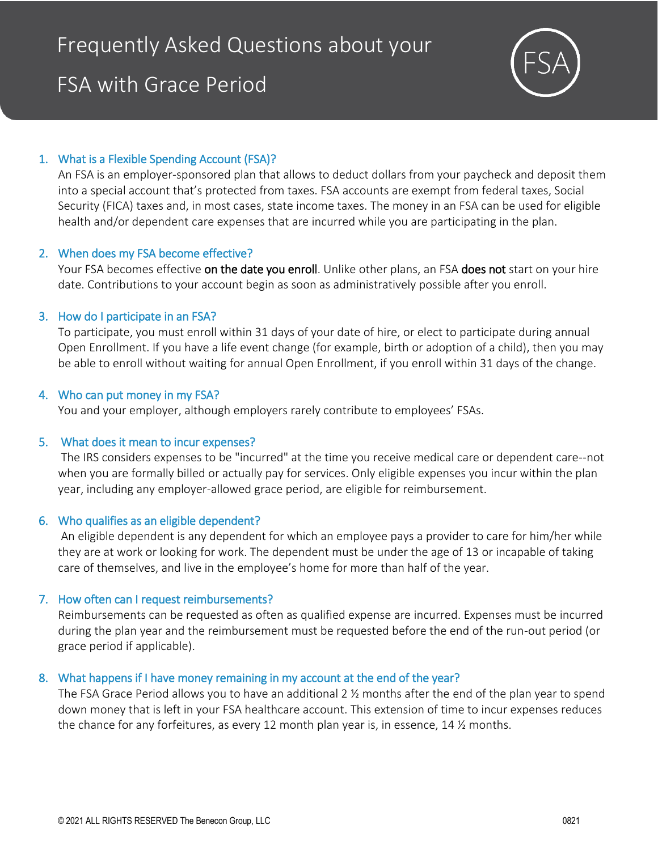# FSA with Grace Period



# 1. What is a Flexible Spending Account (FSA)?

An FSA is an employer-sponsored plan that allows to deduct dollars from your paycheck and deposit them into a special account that's protected from taxes. FSA accounts are exempt from federal taxes, Social Security (FICA) taxes and, in most cases, state income taxes. The money in an FSA can be used for eligible health and/or dependent care expenses that are incurred while you are participating in the plan.

# 2. When does my FSA become effective?

Your FSA becomes effective on the date you enroll. Unlike other plans, an FSA does not start on your hire date. Contributions to your account begin as soon as administratively possible after you enroll.

#### 3. How do I participate in an FSA?

To participate, you must enroll within 31 days of your date of hire, or elect to participate during annual Open Enrollment. If you have a life event change (for example, birth or adoption of a child), then you may be able to enroll without waiting for annual Open Enrollment, if you enroll within 31 days of the change.

#### 4. Who can put money in my FSA?

You and your employer, although employers rarely contribute to employees' FSAs.

# 5. What does it mean to incur expenses?

The IRS considers expenses to be "incurred" at the time you receive medical care or dependent care--not when you are formally billed or actually pay for services. Only eligible expenses you incur within the plan year, including any employer-allowed grace period, are eligible for reimbursement.

#### 6. Who qualifies as an eligible dependent?

An eligible dependent is any dependent for which an employee pays a provider to care for him/her while they are at work or looking for work. The dependent must be under the age of 13 or incapable of taking care of themselves, and live in the employee's home for more than half of the year.

# 7. How often can I request reimbursements?

Reimbursements can be requested as often as qualified expense are incurred. Expenses must be incurred during the plan year and the reimbursement must be requested before the end of the run-out period (or grace period if applicable).

# 8. What happens if I have money remaining in my account at the end of the year?

The FSA Grace Period allows you to have an additional 2 ½ months after the end of the plan year to spend down money that is left in your FSA healthcare account. This extension of time to incur expenses reduces the chance for any forfeitures, as every 12 month plan year is, in essence, 14 ½ months.